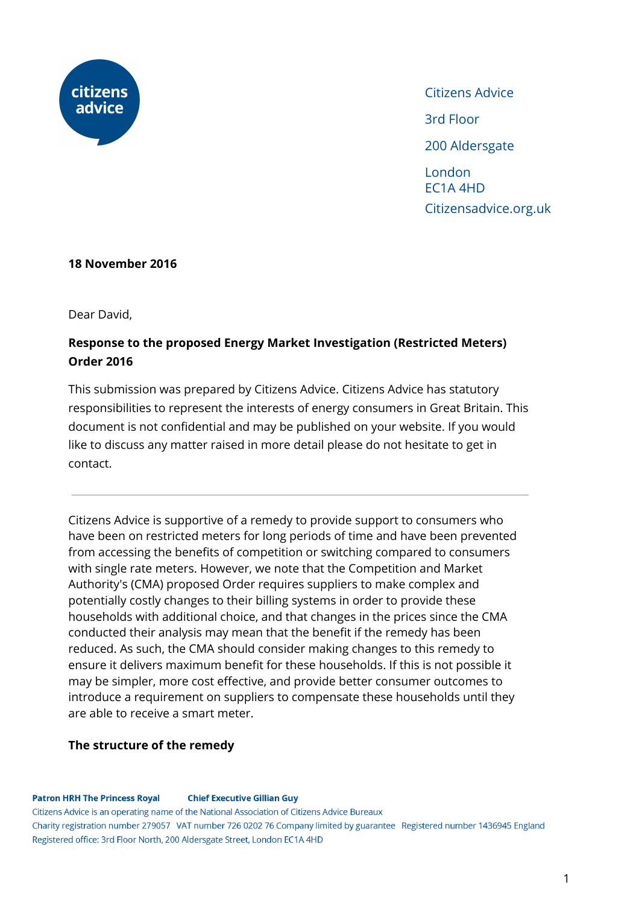

Citizens Advice 3rd Floor 200 Aldersgate London EC1A 4HD Citizensadvice.org.uk

### **18 November 2016**

Dear David,

# **Response to the proposed Energy Market Investigation (Restricted Meters) Order 2016**

This submission was prepared by Citizens Advice. Citizens Advice has statutory responsibilities to represent the interests of energy consumers in Great Britain. This document is not confidential and may be published on your website. If you would like to discuss any matter raised in more detail please do not hesitate to get in contact.

Citizens Advice is supportive of a remedy to provide support to consumers who have been on restricted meters for long periods of time and have been prevented from accessing the benefits of competition or switching compared to consumers with single rate meters. However, we note that the Competition and Market Authority's (CMA) proposed Order requires suppliers to make complex and potentially costly changes to their billing systems in order to provide these households with additional choice, and that changes in the prices since the CMA conducted their analysis may mean that the benefit if the remedy has been reduced. As such, the CMA should consider making changes to this remedy to ensure it delivers maximum benefit for these households. If this is not possible it may be simpler, more cost effective, and provide better consumer outcomes to introduce a requirement on suppliers to compensate these households until they are able to receive a smart meter.

### **The structure of the remedy**

#### **Patron HRH The Princess Royal Chief Executive Gillian Guy**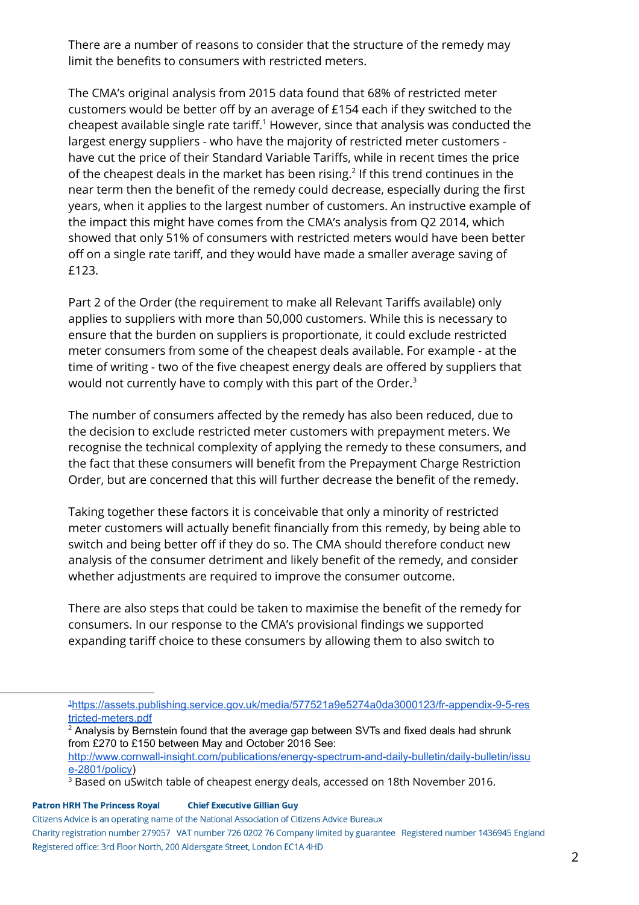There are a number of reasons to consider that the structure of the remedy may limit the benefits to consumers with restricted meters.

The CMA's original analysis from 2015 data found that 68% of restricted meter customers would be better off by an average of £154 each if they switched to the cheapest available single rate tariff. $1$  However, since that analysis was conducted the largest energy suppliers - who have the majority of restricted meter customers have cut the price of their Standard Variable Tariffs, while in recent times the price of the cheapest deals in the market has been rising.<sup>2</sup> If this trend continues in the near term then the benefit of the remedy could decrease, especially during the first years, when it applies to the largest number of customers. An instructive example of the impact this might have comes from the CMA's analysis from Q2 2014, which showed that only 51% of consumers with restricted meters would have been better off on a single rate tariff, and they would have made a smaller average saving of £123.

Part 2 of the Order (the requirement to make all Relevant Tariffs available) only applies to suppliers with more than 50,000 customers. While this is necessary to ensure that the burden on suppliers is proportionate, it could exclude restricted meter consumers from some of the cheapest deals available. For example - at the time of writing - two of the five cheapest energy deals are offered by suppliers that would not currently have to comply with this part of the Order. $^3$ 

The number of consumers affected by the remedy has also been reduced, due to the decision to exclude restricted meter customers with prepayment meters. We recognise the technical complexity of applying the remedy to these consumers, and the fact that these consumers will benefit from the Prepayment Charge Restriction Order, but are concerned that this will further decrease the benefit of the remedy.

Taking together these factors it is conceivable that only a minority of restricted meter customers will actually benefit financially from this remedy, by being able to switch and being better off if they do so. The CMA should therefore conduct new analysis of the consumer detriment and likely benefit of the remedy, and consider whether adjustments are required to improve the consumer outcome.

There are also steps that could be taken to maximise the benefit of the remedy for consumers. In our response to the CMA's provisional findings we supported expanding tariff choice to these consumers by allowing them to also switch to

**Patron HRH The Princess Royal Chief Executive Gillian Guy** 

<sup>&</sup>lt;sup>1</sup>https://assets.publishing.service.gov.uk/media/577521a9e5274a0da3000123/fr-appendix-9-5-res tricted-meters.pdf

 $<sup>2</sup>$  Analysis by Bernstein found that the average gap between SVTs and fixed deals had shrunk</sup> from £270 to £150 between May and October 2016 See:

http://www.cornwall-insight.com/publications/energy-spectrum-and-daily-bulletin/daily-bulletin/issu e-2801/policy)

<sup>&</sup>lt;sup>3</sup> Based on uSwitch table of cheapest energy deals, accessed on 18th November 2016.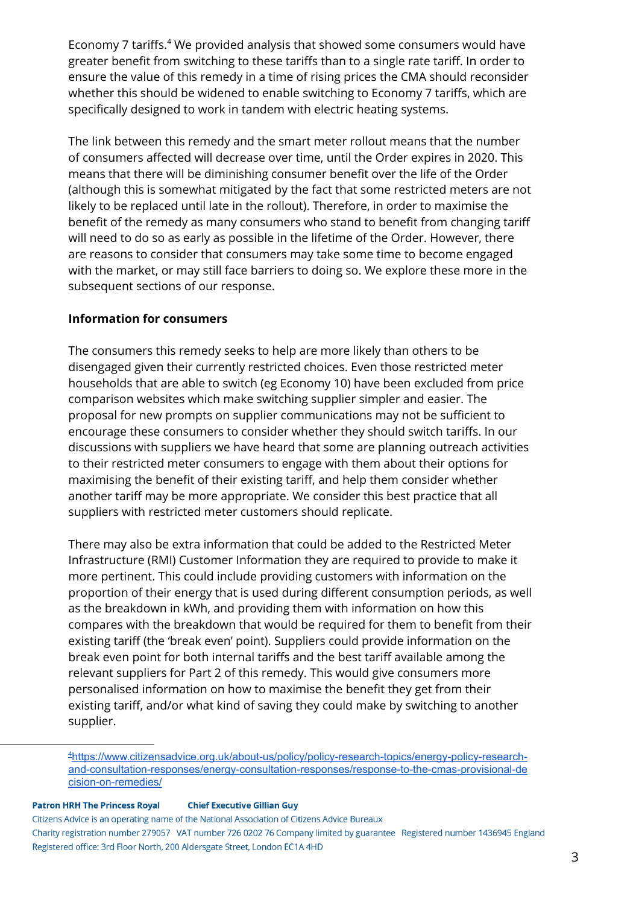Economy 7 tariffs.<sup>4</sup> We provided analysis that showed some consumers would have greater benefit from switching to these tariffs than to a single rate tariff. In order to ensure the value of this remedy in a time of rising prices the CMA should reconsider whether this should be widened to enable switching to Economy 7 tariffs, which are specifically designed to work in tandem with electric heating systems.

The link between this remedy and the smart meter rollout means that the number of consumers affected will decrease over time, until the Order expires in 2020. This means that there will be diminishing consumer benefit over the life of the Order (although this is somewhat mitigated by the fact that some restricted meters are not likely to be replaced until late in the rollout). Therefore, in order to maximise the benefit of the remedy as many consumers who stand to benefit from changing tariff will need to do so as early as possible in the lifetime of the Order. However, there are reasons to consider that consumers may take some time to become engaged with the market, or may still face barriers to doing so. We explore these more in the subsequent sections of our response.

### **Information for consumers**

The consumers this remedy seeks to help are more likely than others to be disengaged given their currently restricted choices. Even those restricted meter households that are able to switch (eg Economy 10) have been excluded from price comparison websites which make switching supplier simpler and easier. The proposal for new prompts on supplier communications may not be sufficient to encourage these consumers to consider whether they should switch tariffs. In our discussions with suppliers we have heard that some are planning outreach activities to their restricted meter consumers to engage with them about their options for maximising the benefit of their existing tariff, and help them consider whether another tariff may be more appropriate. We consider this best practice that all suppliers with restricted meter customers should replicate.

There may also be extra information that could be added to the Restricted Meter Infrastructure (RMI) Customer Information they are required to provide to make it more pertinent. This could include providing customers with information on the proportion of their energy that is used during different consumption periods, as well as the breakdown in kWh, and providing them with information on how this compares with the breakdown that would be required for them to benefit from their existing tariff (the 'break even' point). Suppliers could provide information on the break even point for both internal tariffs and the best tariff available among the relevant suppliers for Part 2 of this remedy. This would give consumers more personalised information on how to maximise the benefit they get from their existing tariff, and/or what kind of saving they could make by switching to another supplier.

#### **Patron HRH The Princess Royal Chief Executive Gillian Guy**

<sup>&</sup>lt;sup>4</sup>https://www.citizensadvice.org.uk/about-us/policy/policy-research-topics/energy-policy-researchand-consultation-responses/energy-consultation-responses/response-to-the-cmas-provisional-de cision-on-remedies/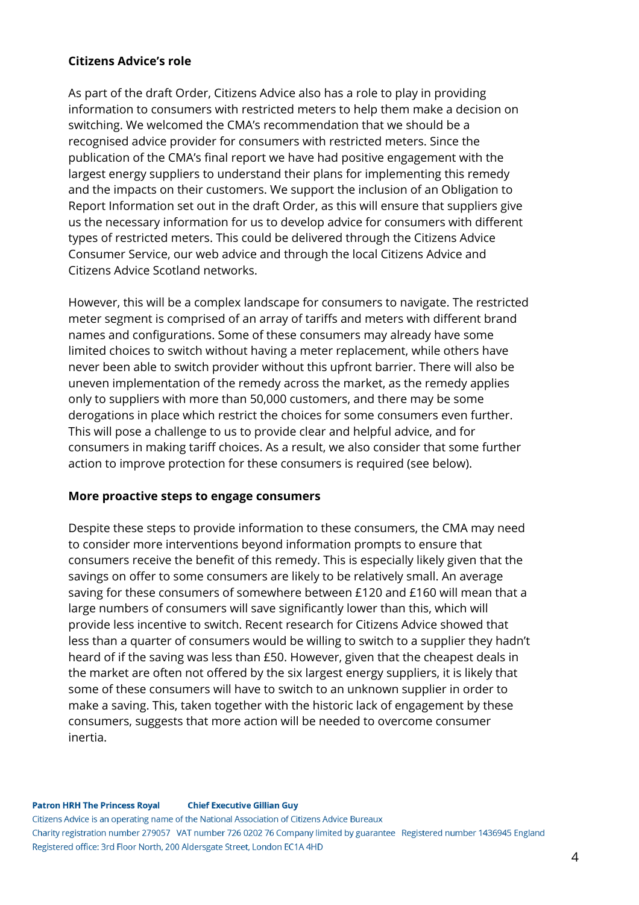### **Citizens Advice's role**

As part of the draft Order, Citizens Advice also has a role to play in providing information to consumers with restricted meters to help them make a decision on switching. We welcomed the CMA's recommendation that we should be a recognised advice provider for consumers with restricted meters. Since the publication of the CMA's final report we have had positive engagement with the largest energy suppliers to understand their plans for implementing this remedy and the impacts on their customers. We support the inclusion of an Obligation to Report Information set out in the draft Order, as this will ensure that suppliers give us the necessary information for us to develop advice for consumers with different types of restricted meters. This could be delivered through the Citizens Advice Consumer Service, our web advice and through the local Citizens Advice and Citizens Advice Scotland networks.

However, this will be a complex landscape for consumers to navigate. The restricted meter segment is comprised of an array of tariffs and meters with different brand names and configurations. Some of these consumers may already have some limited choices to switch without having a meter replacement, while others have never been able to switch provider without this upfront barrier. There will also be uneven implementation of the remedy across the market, as the remedy applies only to suppliers with more than 50,000 customers, and there may be some derogations in place which restrict the choices for some consumers even further. This will pose a challenge to us to provide clear and helpful advice, and for consumers in making tariff choices. As a result, we also consider that some further action to improve protection for these consumers is required (see below).

### **More proactive steps to engage consumers**

Despite these steps to provide information to these consumers, the CMA may need to consider more interventions beyond information prompts to ensure that consumers receive the benefit of this remedy. This is especially likely given that the savings on offer to some consumers are likely to be relatively small. An average saving for these consumers of somewhere between £120 and £160 will mean that a large numbers of consumers will save significantly lower than this, which will provide less incentive to switch. Recent research for Citizens Advice showed that less than a quarter of consumers would be willing to switch to a supplier they hadn't heard of if the saving was less than £50. However, given that the cheapest deals in the market are often not offered by the six largest energy suppliers, it is likely that some of these consumers will have to switch to an unknown supplier in order to make a saving. This, taken together with the historic lack of engagement by these consumers, suggests that more action will be needed to overcome consumer inertia.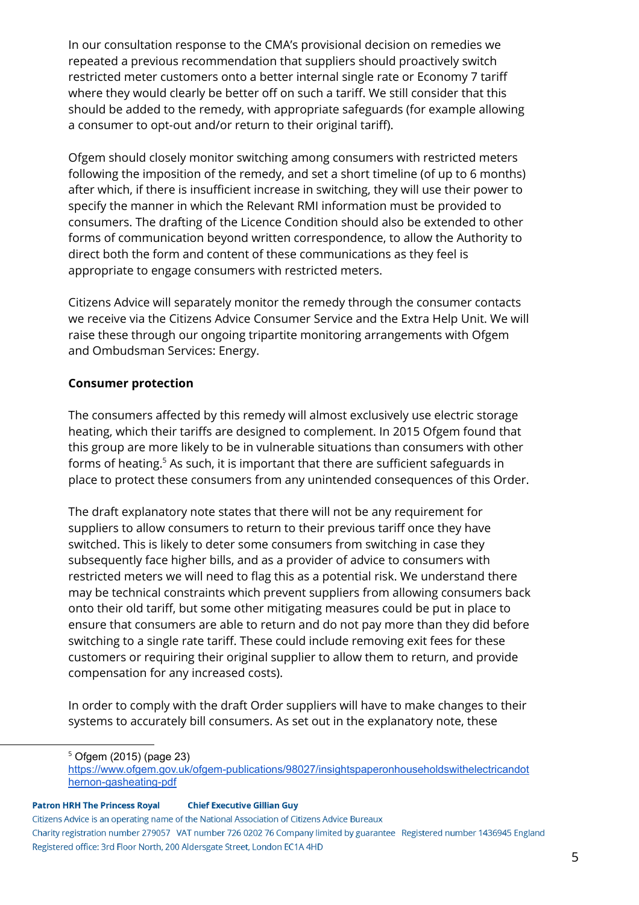In our consultation response to the CMA's provisional decision on remedies we repeated a previous recommendation that suppliers should proactively switch restricted meter customers onto a better internal single rate or Economy 7 tari where they would clearly be better off on such a tariff. We still consider that this should be added to the remedy, with appropriate safeguards (for example allowing a consumer to opt-out and/or return to their original tariff).

Ofgem should closely monitor switching among consumers with restricted meters following the imposition of the remedy, and set a short timeline (of up to 6 months) after which, if there is insufficient increase in switching, they will use their power to specify the manner in which the Relevant RMI information must be provided to consumers. The drafting of the Licence Condition should also be extended to other forms of communication beyond written correspondence, to allow the Authority to direct both the form and content of these communications as they feel is appropriate to engage consumers with restricted meters.

Citizens Advice will separately monitor the remedy through the consumer contacts we receive via the Citizens Advice Consumer Service and the Extra Help Unit. We will raise these through our ongoing tripartite monitoring arrangements with Ofgem and Ombudsman Services: Energy.

## **Consumer protection**

The consumers affected by this remedy will almost exclusively use electric storage heating, which their tariffs are designed to complement. In 2015 Ofgem found that this group are more likely to be in vulnerable situations than consumers with other forms of heating. $5$  As such, it is important that there are sufficient safeguards in place to protect these consumers from any unintended consequences of this Order.

The draft explanatory note states that there will not be any requirement for suppliers to allow consumers to return to their previous tariff once they have switched. This is likely to deter some consumers from switching in case they subsequently face higher bills, and as a provider of advice to consumers with restricted meters we will need to flag this as a potential risk. We understand there may be technical constraints which prevent suppliers from allowing consumers back onto their old tariff, but some other mitigating measures could be put in place to ensure that consumers are able to return and do not pay more than they did before switching to a single rate tariff. These could include removing exit fees for these customers or requiring their original supplier to allow them to return, and provide compensation for any increased costs).

In order to comply with the draft Order suppliers will have to make changes to their systems to accurately bill consumers. As set out in the explanatory note, these

**Patron HRH The Princess Royal Chief Executive Gillian Guy** 

 $5$  Ofgem (2015) (page 23)

https://www.ofgem.gov.uk/ofgem-publications/98027/insightspaperonhouseholdswithelectricandot hernon-gasheating-pdf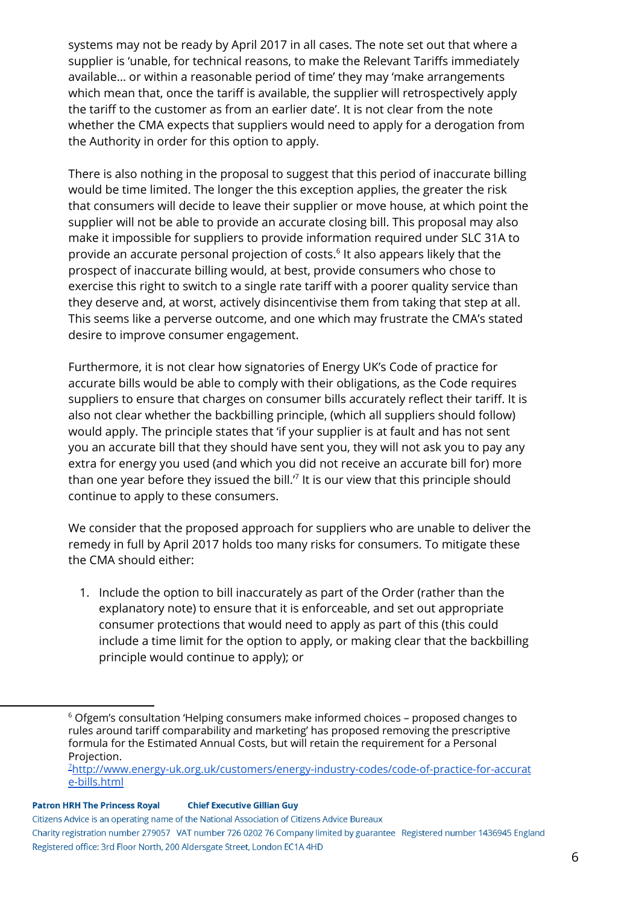systems may not be ready by April 2017 in all cases. The note set out that where a supplier is 'unable, for technical reasons, to make the Relevant Tariffs immediately available… or within a reasonable period of time' they may 'make arrangements which mean that, once the tariff is available, the supplier will retrospectively apply the tariff to the customer as from an earlier date'. It is not clear from the note whether the CMA expects that suppliers would need to apply for a derogation from the Authority in order for this option to apply.

There is also nothing in the proposal to suggest that this period of inaccurate billing would be time limited. The longer the this exception applies, the greater the risk that consumers will decide to leave their supplier or move house, at which point the supplier will not be able to provide an accurate closing bill. This proposal may also make it impossible for suppliers to provide information required under SLC 31A to provide an accurate personal projection of costs.<sup>6</sup> It also appears likely that the prospect of inaccurate billing would, at best, provide consumers who chose to exercise this right to switch to a single rate tariff with a poorer quality service than they deserve and, at worst, actively disincentivise them from taking that step at all. This seems like a perverse outcome, and one which may frustrate the CMA's stated desire to improve consumer engagement.

Furthermore, it is not clear how signatories of Energy UK's Code of practice for accurate bills would be able to comply with their obligations, as the Code requires suppliers to ensure that charges on consumer bills accurately reflect their tariff. It is also not clear whether the backbilling principle, (which all suppliers should follow) would apply. The principle states that 'if your supplier is at fault and has not sent you an accurate bill that they should have sent you, they will not ask you to pay any extra for energy you used (and which you did not receive an accurate bill for) more than one year before they issued the bill. $'$  It is our view that this principle should continue to apply to these consumers.

We consider that the proposed approach for suppliers who are unable to deliver the remedy in full by April 2017 holds too many risks for consumers. To mitigate these the CMA should either:

1. Include the option to bill inaccurately as part of the Order (rather than the explanatory note) to ensure that it is enforceable, and set out appropriate consumer protections that would need to apply as part of this (this could include a time limit for the option to apply, or making clear that the backbilling principle would continue to apply); or

#### **Patron HRH The Princess Royal Chief Executive Gillian Guy**

Citizens Advice is an operating name of the National Association of Citizens Advice Bureaux

<sup>6</sup> Ofgem's consultation 'Helping consumers make informed choices – proposed changes to rules around tariff comparability and marketing' has proposed removing the prescriptive formula for the Estimated Annual Costs, but will retain the requirement for a Personal Projection.

<sup>7</sup>[http://www.energy-uk.org.uk/customers/energy-industry-codes/code-of-practice-for-accurat](http://www.energy-uk.org.uk/customers/energy-industry-codes/code-of-practice-for-accurate-bills.html) [e-bills.html](http://www.energy-uk.org.uk/customers/energy-industry-codes/code-of-practice-for-accurate-bills.html)

Charity registration number 279057 VAT number 726 0202 76 Company limited by guarantee Registered number 1436945 England Registered office: 3rd Floor North, 200 Aldersgate Street, London EC1A 4HD